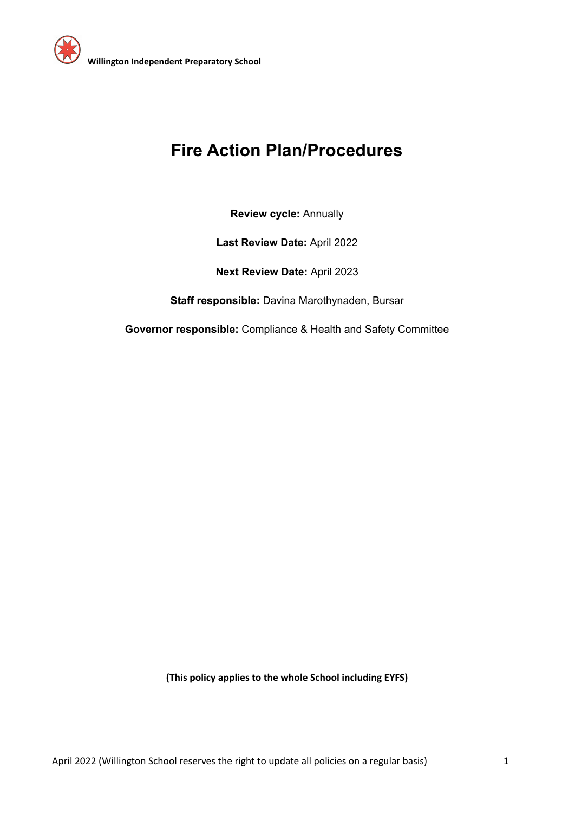

### **Fire Action Plan/Procedures**

**Review cycle:** Annually

**Last Review Date:** April 2022

**Next Review Date:** April 2023

**Staff responsible:** Davina Marothynaden, Bursar

**Governor responsible:** Compliance & Health and Safety Committee

**(This policy applies to the whole School including EYFS)**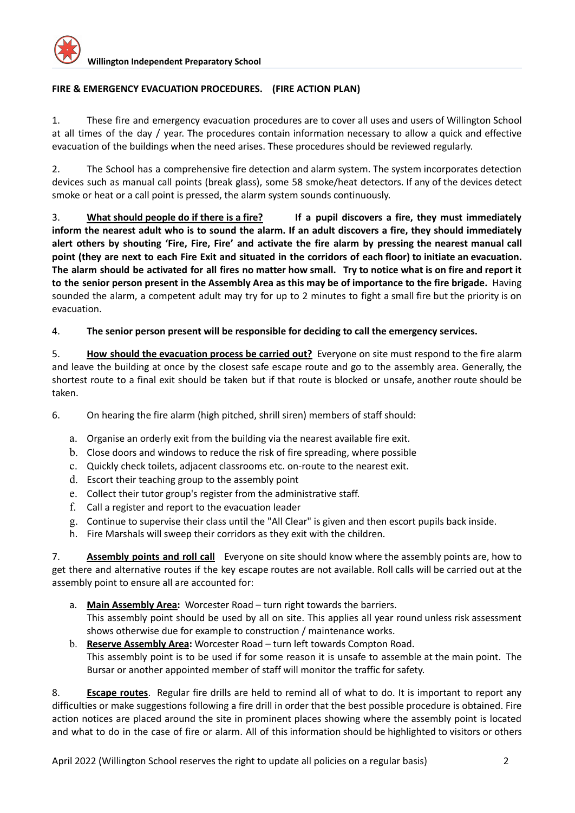#### **FIRE & EMERGENCY EVACUATION PROCEDURES. (FIRE ACTION PLAN)**

1. These fire and emergency evacuation procedures are to cover all uses and users of Willington School at all times of the day / year. The procedures contain information necessary to allow a quick and effective evacuation of the buildings when the need arises. These procedures should be reviewed regularly.

2. The School has a comprehensive fire detection and alarm system. The system incorporates detection devices such as manual call points (break glass), some 58 smoke/heat detectors. If any of the devices detect smoke or heat or a call point is pressed, the alarm system sounds continuously.

3. **What should people do if there is a fire? If a pupil discovers a fire, they must immediately** inform the nearest adult who is to sound the alarm. If an adult discovers a fire, they should immediately alert others by shouting 'Fire, Fire, Fire' and activate the fire alarm by pressing the nearest manual call point (they are next to each Fire Exit and situated in the corridors of each floor) to initiate an evacuation. The alarm should be activated for all fires no matter how small. Try to notice what is on fire and report it to the senior person present in the Assembly Area as this may be of importance to the fire brigade. Having sounded the alarm, a competent adult may try for up to 2 minutes to fight a small fire but the priority is on evacuation.

#### 4. **The senior person present will be responsible for deciding to call the emergency services.**

5. **How should the evacuation process be carried out?** Everyone on site must respond to the fire alarm and leave the building at once by the closest safe escape route and go to the assembly area. Generally, the shortest route to a final exit should be taken but if that route is blocked or unsafe, another route should be taken.

6. On hearing the fire alarm (high pitched, shrill siren) members of staff should:

- a. Organise an orderly exit from the building via the nearest available fire exit.
- b. Close doors and windows to reduce the risk of fire spreading, where possible
- c. Quickly check toilets, adjacent classrooms etc. on-route to the nearest exit.
- d. Escort their teaching group to the assembly point
- e. Collect their tutor group's register from the administrative staff.
- f. Call a register and report to the evacuation leader
- g. Continue to supervise their class until the "All Clear" is given and then escort pupils back inside.
- h. Fire Marshals will sweep their corridors as they exit with the children.

7. **Assembly points and roll call** Everyone on site should know where the assembly points are, how to get there and alternative routes if the key escape routes are not available. Roll calls will be carried out at the assembly point to ensure all are accounted for:

- a. **Main Assembly Area:** Worcester Road turn right towards the barriers. This assembly point should be used by all on site. This applies all year round unless risk assessment shows otherwise due for example to construction / maintenance works.
- b. **Reserve Assembly Area:** Worcester Road turn left towards Compton Road. This assembly point is to be used if for some reason it is unsafe to assemble at the main point. The Bursar or another appointed member of staff will monitor the traffic for safety.

8. **Escape routes**. Regular fire drills are held to remind all of what to do. It is important to report any difficulties or make suggestions following a fire drill in order that the best possible procedure is obtained. Fire action notices are placed around the site in prominent places showing where the assembly point is located and what to do in the case of fire or alarm. All of this information should be highlighted to visitors or others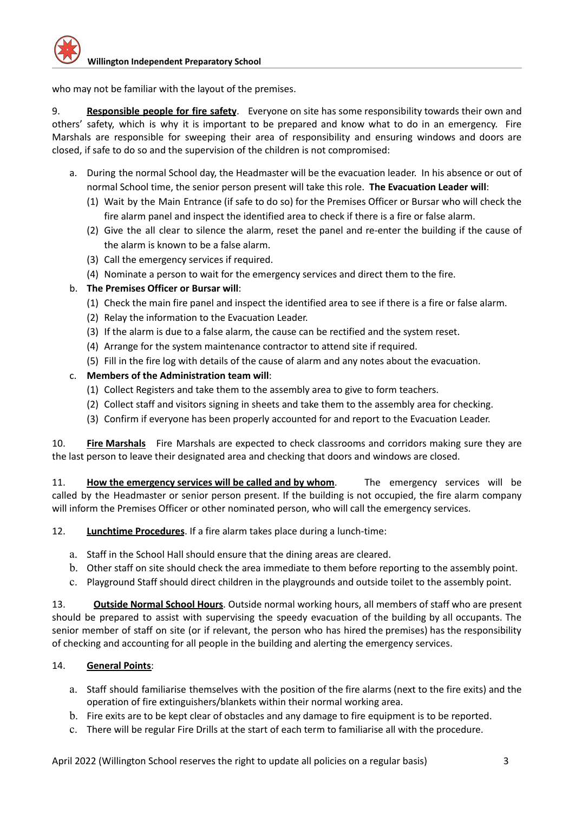who may not be familiar with the layout of the premises.

9. **Responsible people for fire safety**. Everyone on site has some responsibility towards their own and others' safety, which is why it is important to be prepared and know what to do in an emergency. Fire Marshals are responsible for sweeping their area of responsibility and ensuring windows and doors are closed, if safe to do so and the supervision of the children is not compromised:

- a. During the normal School day, the Headmaster will be the evacuation leader. In his absence or out of normal School time, the senior person present will take this role. **The Evacuation Leader will**:
	- (1) Wait by the Main Entrance (if safe to do so) for the Premises Officer or Bursar who will check the fire alarm panel and inspect the identified area to check if there is a fire or false alarm.
	- (2) Give the all clear to silence the alarm, reset the panel and re-enter the building if the cause of the alarm is known to be a false alarm.
	- (3) Call the emergency services if required.
	- (4) Nominate a person to wait for the emergency services and direct them to the fire.
- b. **The Premises Officer or Bursar will**:
	- (1) Check the main fire panel and inspect the identified area to see if there is a fire or false alarm.
	- (2) Relay the information to the Evacuation Leader.
	- (3) If the alarm is due to a false alarm, the cause can be rectified and the system reset.
	- (4) Arrange for the system maintenance contractor to attend site if required.
	- (5) Fill in the fire log with details of the cause of alarm and any notes about the evacuation.

#### c. **Members of the Administration team will**:

- (1) Collect Registers and take them to the assembly area to give to form teachers.
- (2) Collect staff and visitors signing in sheets and take them to the assembly area for checking.
- (3) Confirm if everyone has been properly accounted for and report to the Evacuation Leader.

10. **Fire Marshals** Fire Marshals are expected to check classrooms and corridors making sure they are the last person to leave their designated area and checking that doors and windows are closed.

11. **How the emergency services will be called and by whom**. The emergency services will be called by the Headmaster or senior person present. If the building is not occupied, the fire alarm company will inform the Premises Officer or other nominated person, who will call the emergency services.

12. **Lunchtime Procedures**. If a fire alarm takes place during a lunch-time:

- a. Staff in the School Hall should ensure that the dining areas are cleared.
- b. Other staff on site should check the area immediate to them before reporting to the assembly point.
- c. Playground Staff should direct children in the playgrounds and outside toilet to the assembly point.

13. **Outside Normal School Hours**. Outside normal working hours, all members of staff who are present should be prepared to assist with supervising the speedy evacuation of the building by all occupants. The senior member of staff on site (or if relevant, the person who has hired the premises) has the responsibility of checking and accounting for all people in the building and alerting the emergency services.

#### 14. **General Points**:

- a. Staff should familiarise themselves with the position of the fire alarms (next to the fire exits) and the operation of fire extinguishers/blankets within their normal working area.
- b. Fire exits are to be kept clear of obstacles and any damage to fire equipment is to be reported.
- c. There will be regular Fire Drills at the start of each term to familiarise all with the procedure.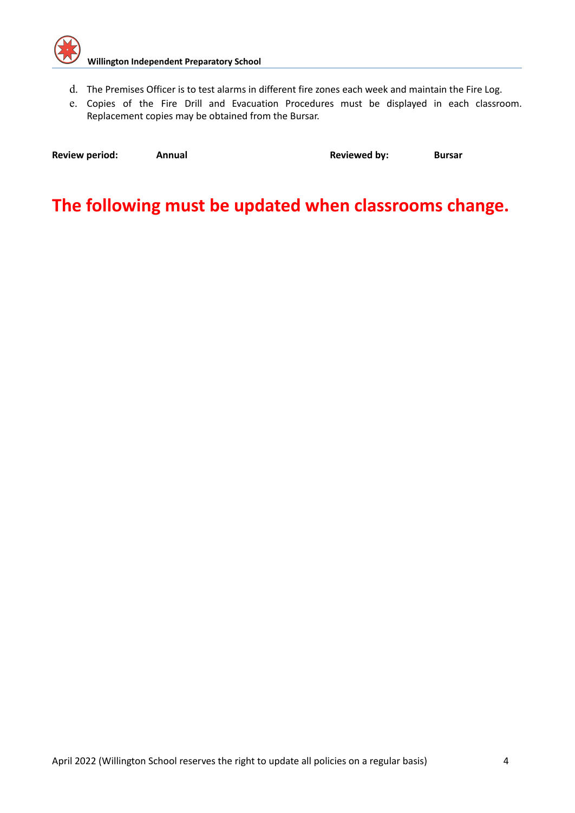

- d. The Premises Officer is to test alarms in different fire zones each week and maintain the Fire Log.
- e. Copies of the Fire Drill and Evacuation Procedures must be displayed in each classroom. Replacement copies may be obtained from the Bursar.

| <b>Review period:</b> | Annual | <b>Reviewed by:</b> | <b>Bursar</b> |
|-----------------------|--------|---------------------|---------------|
|                       |        |                     |               |

### **The following must be updated when classrooms change.**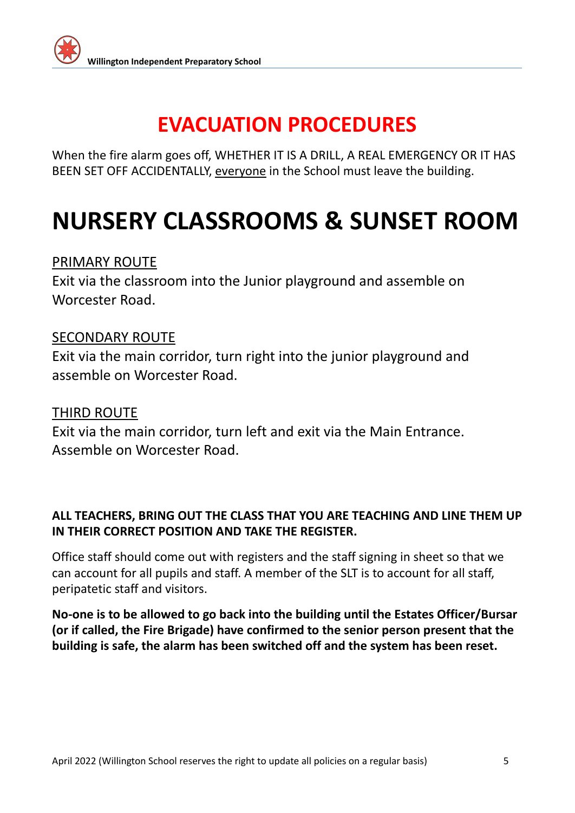

When the fire alarm goes off, WHETHER IT IS A DRILL, A REAL EMERGENCY OR IT HAS BEEN SET OFF ACCIDENTALLY, everyone in the School must leave the building.

## **NURSERY CLASSROOMS & SUNSET ROOM**

#### PRIMARY ROUTE

Exit via the classroom into the Junior playground and assemble on Worcester Road.

#### SECONDARY ROUTE

Exit via the main corridor, turn right into the junior playground and assemble on Worcester Road.

#### THIRD ROUTE

Exit via the main corridor, turn left and exit via the Main Entrance. Assemble on Worcester Road.

#### **ALL TEACHERS, BRING OUT THE CLASS THAT YOU ARE TEACHING AND LINE THEM UP IN THEIR CORRECT POSITION AND TAKE THE REGISTER.**

Office staff should come out with registers and the staff signing in sheet so that we can account for all pupils and staff. A member of the SLT is to account for all staff, peripatetic staff and visitors.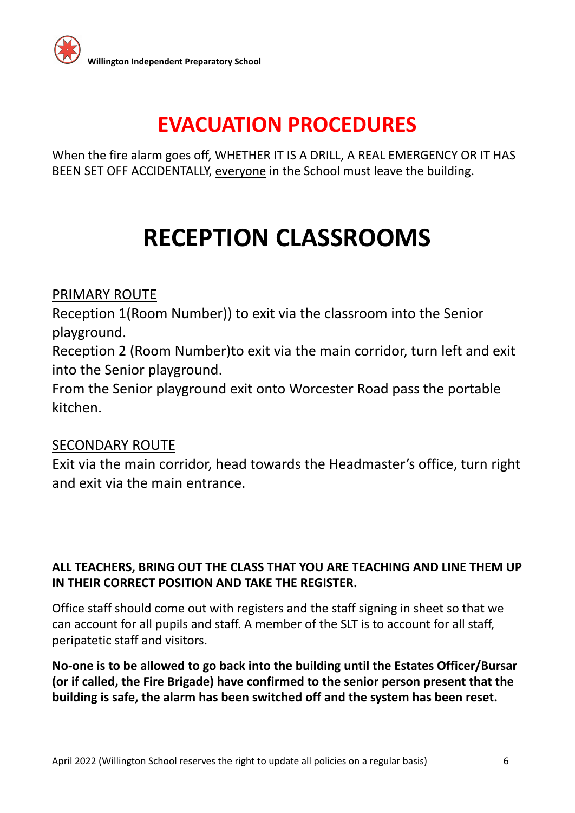

When the fire alarm goes off, WHETHER IT IS A DRILL, A REAL EMERGENCY OR IT HAS BEEN SET OFF ACCIDENTALLY, everyone in the School must leave the building.

# **RECEPTION CLASSROOMS**

#### PRIMARY ROUTE

Reception 1(Room Number)) to exit via the classroom into the Senior playground.

Reception 2 (Room Number)to exit via the main corridor, turn left and exit into the Senior playground.

From the Senior playground exit onto Worcester Road pass the portable kitchen.

#### SECONDARY ROUTE

Exit via the main corridor, head towards the Headmaster's office, turn right and exit via the main entrance.

#### **ALL TEACHERS, BRING OUT THE CLASS THAT YOU ARE TEACHING AND LINE THEM UP IN THEIR CORRECT POSITION AND TAKE THE REGISTER.**

Office staff should come out with registers and the staff signing in sheet so that we can account for all pupils and staff. A member of the SLT is to account for all staff, peripatetic staff and visitors.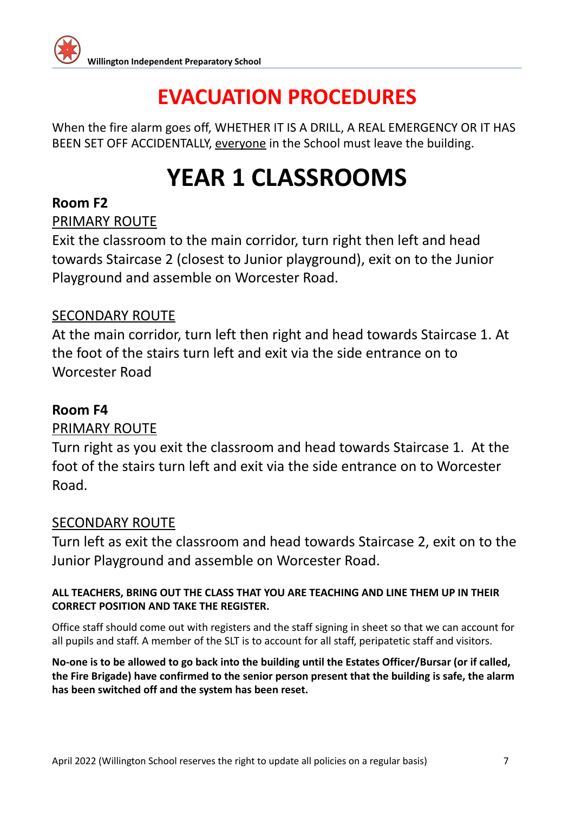

When the fire alarm goes off, WHETHER IT IS A DRILL, A REAL EMERGENCY OR IT HAS BEEN SET OFF ACCIDENTALLY, everyone in the School must leave the building.

# **YEAR 1 CLASSROOMS**

#### **Room F2**

PRIMARY ROUTE

Exit the classroom to the main corridor, turn right then left and head towards Staircase 2 (closest to Junior playground), exit on to the Junior Playground and assemble on Worcester Road.

#### SECONDARY ROUTE

At the main corridor, turn left then right and head towards Staircase 1. At the foot of the stairs turn left and exit via the side entrance on to Worcester Road

#### **Room F4**

#### PRIMARY ROUTE

Turn right as you exit the classroom and head towards Staircase 1. At the foot of the stairs turn left and exit via the side entrance on to Worcester Road.

#### SECONDARY ROUTE

Turn left as exit the classroom and head towards Staircase 2, exit on to the Junior Playground and assemble on Worcester Road.

#### **ALL TEACHERS, BRING OUT THE CLASS THAT YOU ARE TEACHING AND LINE THEM UP IN THEIR CORRECT POSITION AND TAKE THE REGISTER.**

Office staff should come out with registers and the staff signing in sheet so that we can account for all pupils and staff. A member of the SLT is to account for all staff, peripatetic staff and visitors.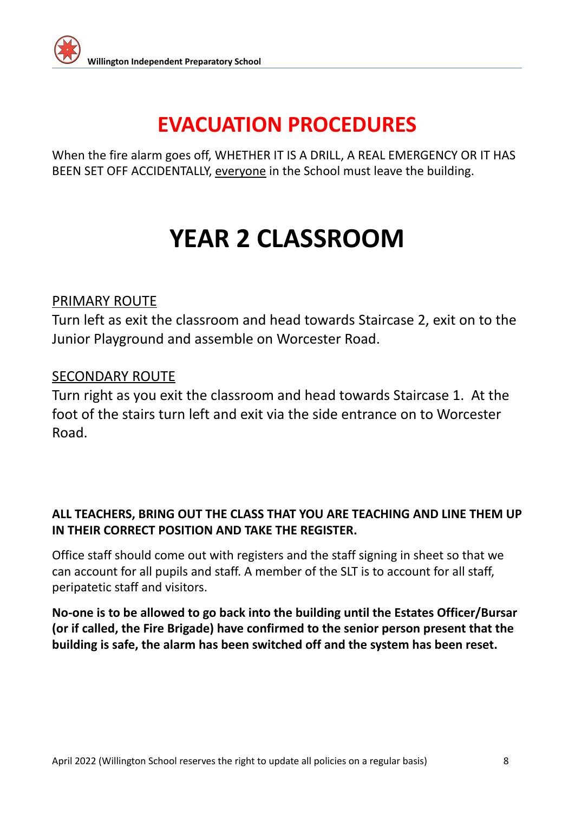

When the fire alarm goes off, WHETHER IT IS A DRILL, A REAL EMERGENCY OR IT HAS BEEN SET OFF ACCIDENTALLY, everyone in the School must leave the building.

# **YEAR 2 CLASSROOM**

#### PRIMARY ROUTE

Turn left as exit the classroom and head towards Staircase 2, exit on to the Junior Playground and assemble on Worcester Road.

#### SECONDARY ROUTE

Turn right as you exit the classroom and head towards Staircase 1. At the foot of the stairs turn left and exit via the side entrance on to Worcester Road.

#### **ALL TEACHERS, BRING OUT THE CLASS THAT YOU ARE TEACHING AND LINE THEM UP IN THEIR CORRECT POSITION AND TAKE THE REGISTER.**

Office staff should come out with registers and the staff signing in sheet so that we can account for all pupils and staff. A member of the SLT is to account for all staff, peripatetic staff and visitors.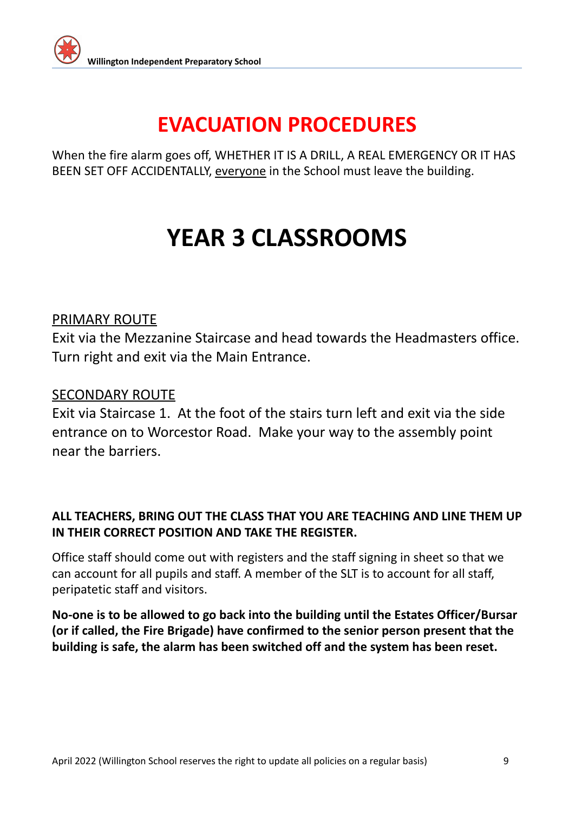

When the fire alarm goes off, WHETHER IT IS A DRILL, A REAL EMERGENCY OR IT HAS BEEN SET OFF ACCIDENTALLY, everyone in the School must leave the building.

## **YEAR 3 CLASSROOMS**

#### PRIMARY ROUTE

Exit via the Mezzanine Staircase and head towards the Headmasters office. Turn right and exit via the Main Entrance.

#### SECONDARY ROUTE

Exit via Staircase 1. At the foot of the stairs turn left and exit via the side entrance on to Worcestor Road. Make your way to the assembly point near the barriers.

#### **ALL TEACHERS, BRING OUT THE CLASS THAT YOU ARE TEACHING AND LINE THEM UP IN THEIR CORRECT POSITION AND TAKE THE REGISTER.**

Office staff should come out with registers and the staff signing in sheet so that we can account for all pupils and staff. A member of the SLT is to account for all staff, peripatetic staff and visitors.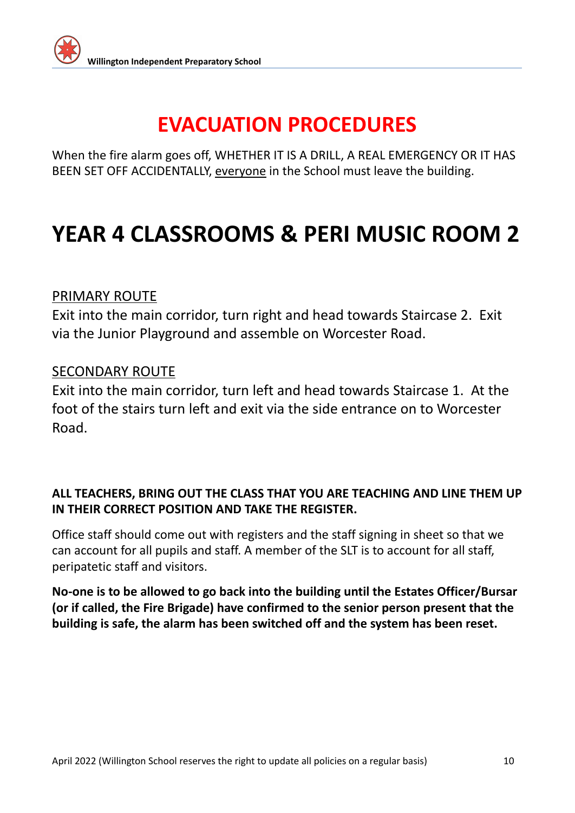

When the fire alarm goes off, WHETHER IT IS A DRILL, A REAL EMERGENCY OR IT HAS BEEN SET OFF ACCIDENTALLY, everyone in the School must leave the building.

## **YEAR 4 CLASSROOMS & PERI MUSIC ROOM 2**

#### PRIMARY ROUTE

Exit into the main corridor, turn right and head towards Staircase 2. Exit via the Junior Playground and assemble on Worcester Road.

#### SECONDARY ROUTE

Exit into the main corridor, turn left and head towards Staircase 1. At the foot of the stairs turn left and exit via the side entrance on to Worcester Road.

#### **ALL TEACHERS, BRING OUT THE CLASS THAT YOU ARE TEACHING AND LINE THEM UP IN THEIR CORRECT POSITION AND TAKE THE REGISTER.**

Office staff should come out with registers and the staff signing in sheet so that we can account for all pupils and staff. A member of the SLT is to account for all staff, peripatetic staff and visitors.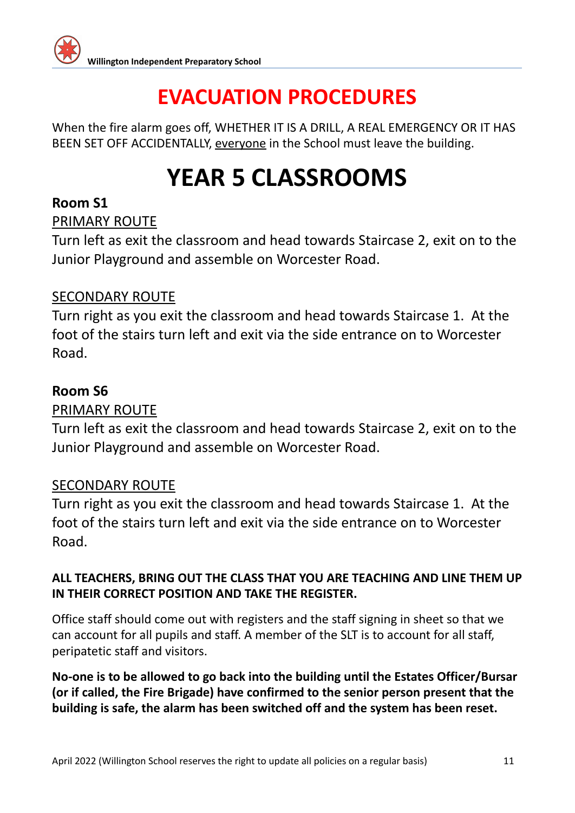

When the fire alarm goes off, WHETHER IT IS A DRILL, A REAL EMERGENCY OR IT HAS BEEN SET OFF ACCIDENTALLY, everyone in the School must leave the building.

## **YEAR 5 CLASSROOMS**

#### **Room S1**

#### PRIMARY ROUTE

Turn left as exit the classroom and head towards Staircase 2, exit on to the Junior Playground and assemble on Worcester Road.

#### SECONDARY ROUTE

Turn right as you exit the classroom and head towards Staircase 1. At the foot of the stairs turn left and exit via the side entrance on to Worcester Road.

#### **Room S6**

#### PRIMARY ROUTE

Turn left as exit the classroom and head towards Staircase 2, exit on to the Junior Playground and assemble on Worcester Road.

#### SECONDARY ROUTE

Turn right as you exit the classroom and head towards Staircase 1. At the foot of the stairs turn left and exit via the side entrance on to Worcester Road.

#### **ALL TEACHERS, BRING OUT THE CLASS THAT YOU ARE TEACHING AND LINE THEM UP IN THEIR CORRECT POSITION AND TAKE THE REGISTER.**

Office staff should come out with registers and the staff signing in sheet so that we can account for all pupils and staff. A member of the SLT is to account for all staff, peripatetic staff and visitors.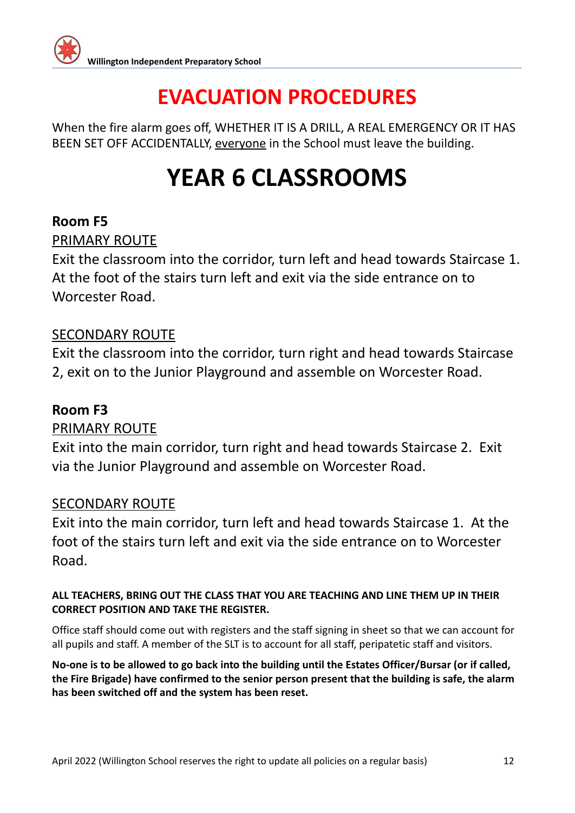

When the fire alarm goes off, WHETHER IT IS A DRILL, A REAL EMERGENCY OR IT HAS BEEN SET OFF ACCIDENTALLY, everyone in the School must leave the building.

# **YEAR 6 CLASSROOMS**

#### **Room F5**

#### PRIMARY ROUTE

Exit the classroom into the corridor, turn left and head towards Staircase 1. At the foot of the stairs turn left and exit via the side entrance on to Worcester Road.

#### SECONDARY ROUTE

Exit the classroom into the corridor, turn right and head towards Staircase 2, exit on to the Junior Playground and assemble on Worcester Road.

#### **Room F3**

#### PRIMARY ROUTE

Exit into the main corridor, turn right and head towards Staircase 2. Exit via the Junior Playground and assemble on Worcester Road.

#### SECONDARY ROUTE

Exit into the main corridor, turn left and head towards Staircase 1. At the foot of the stairs turn left and exit via the side entrance on to Worcester Road.

#### **ALL TEACHERS, BRING OUT THE CLASS THAT YOU ARE TEACHING AND LINE THEM UP IN THEIR CORRECT POSITION AND TAKE THE REGISTER.**

Office staff should come out with registers and the staff signing in sheet so that we can account for all pupils and staff. A member of the SLT is to account for all staff, peripatetic staff and visitors.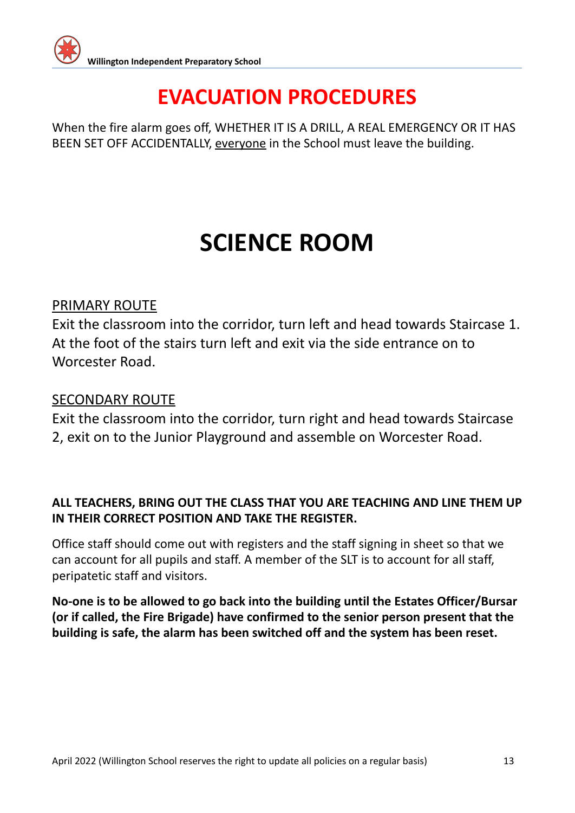

When the fire alarm goes off, WHETHER IT IS A DRILL, A REAL EMERGENCY OR IT HAS BEEN SET OFF ACCIDENTALLY, everyone in the School must leave the building.

## **SCIENCE ROOM**

#### PRIMARY ROUTE

Exit the classroom into the corridor, turn left and head towards Staircase 1. At the foot of the stairs turn left and exit via the side entrance on to Worcester Road.

#### SECONDARY ROUTE

Exit the classroom into the corridor, turn right and head towards Staircase 2, exit on to the Junior Playground and assemble on Worcester Road.

#### **ALL TEACHERS, BRING OUT THE CLASS THAT YOU ARE TEACHING AND LINE THEM UP IN THEIR CORRECT POSITION AND TAKE THE REGISTER.**

Office staff should come out with registers and the staff signing in sheet so that we can account for all pupils and staff. A member of the SLT is to account for all staff, peripatetic staff and visitors.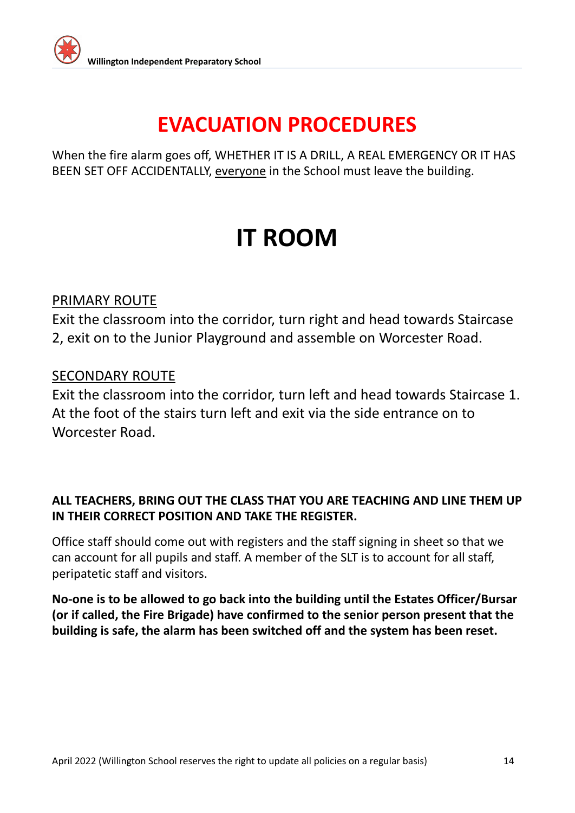

When the fire alarm goes off, WHETHER IT IS A DRILL, A REAL EMERGENCY OR IT HAS BEEN SET OFF ACCIDENTALLY, everyone in the School must leave the building.

## **IT ROOM**

#### PRIMARY ROUTE

Exit the classroom into the corridor, turn right and head towards Staircase 2, exit on to the Junior Playground and assemble on Worcester Road.

#### SECONDARY ROUTE

Exit the classroom into the corridor, turn left and head towards Staircase 1. At the foot of the stairs turn left and exit via the side entrance on to Worcester Road.

#### **ALL TEACHERS, BRING OUT THE CLASS THAT YOU ARE TEACHING AND LINE THEM UP IN THEIR CORRECT POSITION AND TAKE THE REGISTER.**

Office staff should come out with registers and the staff signing in sheet so that we can account for all pupils and staff. A member of the SLT is to account for all staff, peripatetic staff and visitors.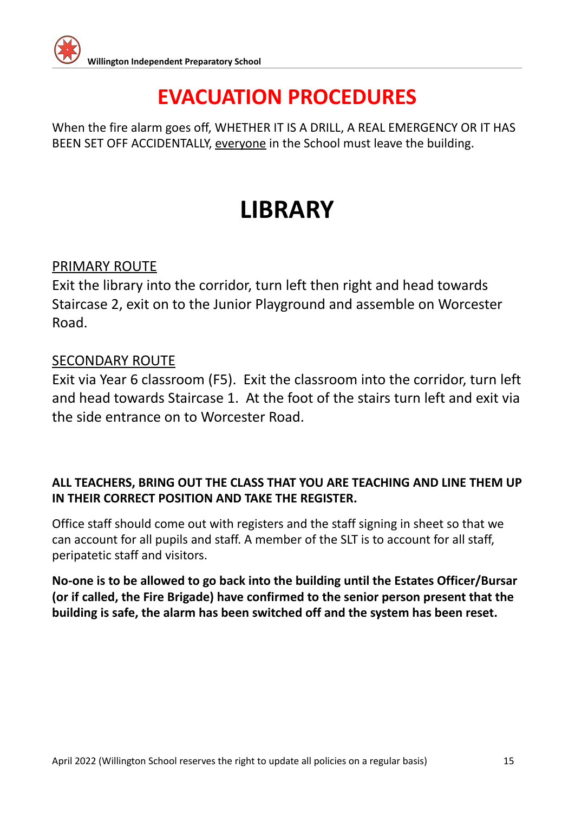

When the fire alarm goes off, WHETHER IT IS A DRILL, A REAL EMERGENCY OR IT HAS BEEN SET OFF ACCIDENTALLY, everyone in the School must leave the building.

## **LIBRARY**

#### PRIMARY ROUTE

Exit the library into the corridor, turn left then right and head towards Staircase 2, exit on to the Junior Playground and assemble on Worcester Road.

#### SECONDARY ROUTE

Exit via Year 6 classroom (F5). Exit the classroom into the corridor, turn left and head towards Staircase 1. At the foot of the stairs turn left and exit via the side entrance on to Worcester Road.

#### **ALL TEACHERS, BRING OUT THE CLASS THAT YOU ARE TEACHING AND LINE THEM UP IN THEIR CORRECT POSITION AND TAKE THE REGISTER.**

Office staff should come out with registers and the staff signing in sheet so that we can account for all pupils and staff. A member of the SLT is to account for all staff, peripatetic staff and visitors.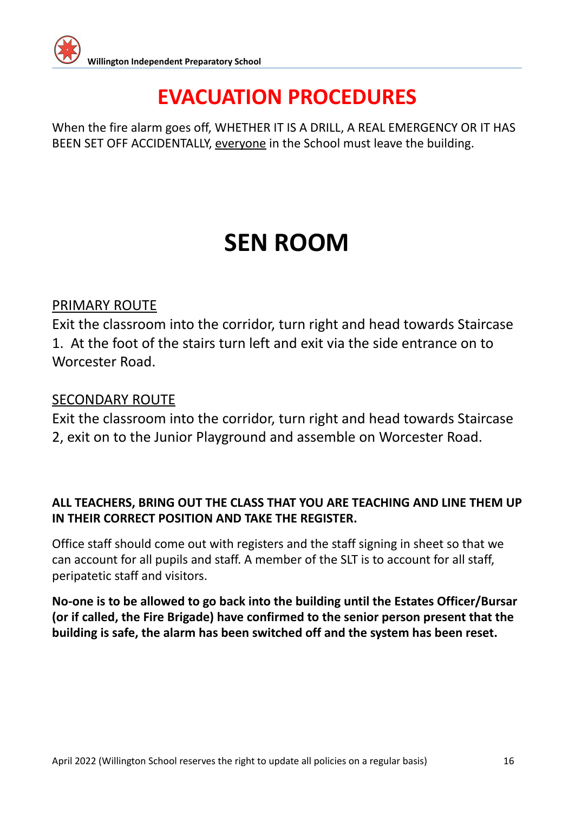

When the fire alarm goes off, WHETHER IT IS A DRILL, A REAL EMERGENCY OR IT HAS BEEN SET OFF ACCIDENTALLY, everyone in the School must leave the building.

## **SEN ROOM**

#### PRIMARY ROUTE

Exit the classroom into the corridor, turn right and head towards Staircase 1. At the foot of the stairs turn left and exit via the side entrance on to Worcester Road.

#### SECONDARY ROUTE

Exit the classroom into the corridor, turn right and head towards Staircase 2, exit on to the Junior Playground and assemble on Worcester Road.

#### **ALL TEACHERS, BRING OUT THE CLASS THAT YOU ARE TEACHING AND LINE THEM UP IN THEIR CORRECT POSITION AND TAKE THE REGISTER.**

Office staff should come out with registers and the staff signing in sheet so that we can account for all pupils and staff. A member of the SLT is to account for all staff, peripatetic staff and visitors.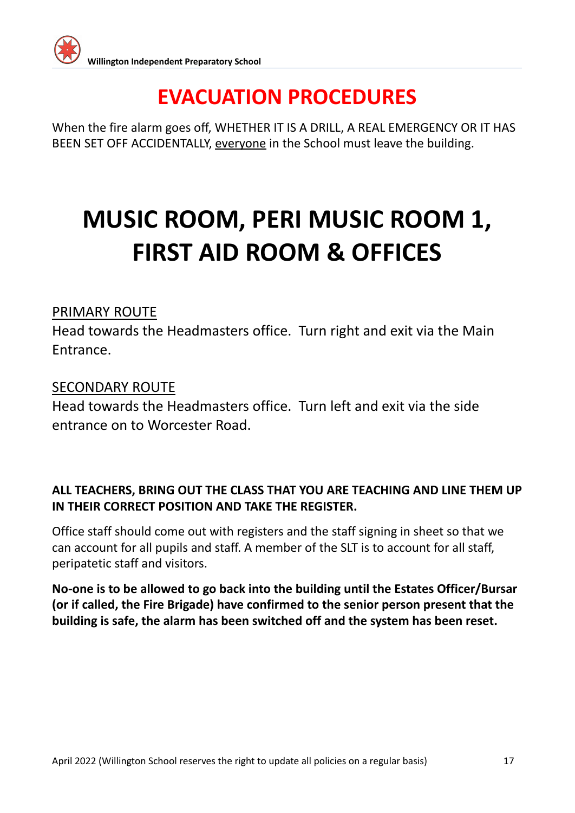When the fire alarm goes off, WHETHER IT IS A DRILL, A REAL EMERGENCY OR IT HAS BEEN SET OFF ACCIDENTALLY, everyone in the School must leave the building.

# **MUSIC ROOM, PERI MUSIC ROOM 1, FIRST AID ROOM & OFFICES**

#### PRIMARY ROUTE

Head towards the Headmasters office. Turn right and exit via the Main Entrance.

#### SECONDARY ROUTE

Head towards the Headmasters office. Turn left and exit via the side entrance on to Worcester Road.

#### **ALL TEACHERS, BRING OUT THE CLASS THAT YOU ARE TEACHING AND LINE THEM UP IN THEIR CORRECT POSITION AND TAKE THE REGISTER.**

Office staff should come out with registers and the staff signing in sheet so that we can account for all pupils and staff. A member of the SLT is to account for all staff, peripatetic staff and visitors.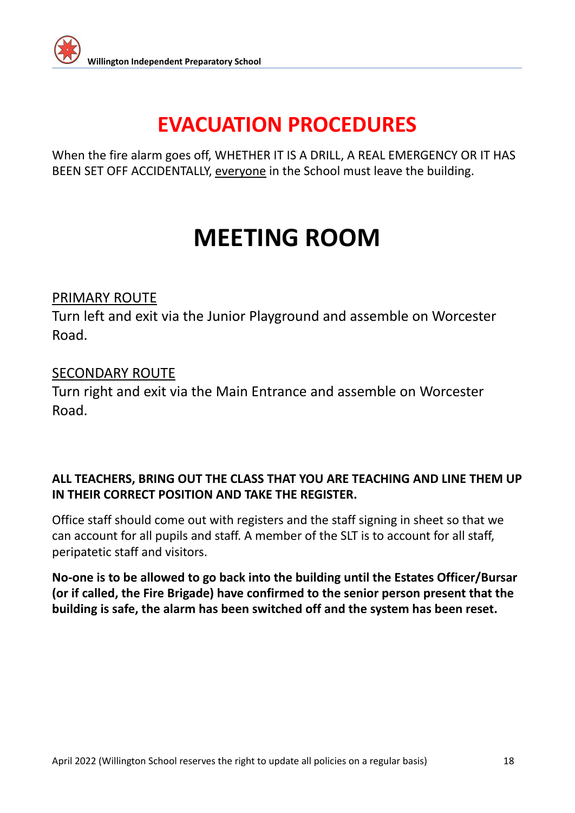

When the fire alarm goes off, WHETHER IT IS A DRILL, A REAL EMERGENCY OR IT HAS BEEN SET OFF ACCIDENTALLY, everyone in the School must leave the building.

## **MEETING ROOM**

#### PRIMARY ROUTE

Turn left and exit via the Junior Playground and assemble on Worcester Road.

#### SECONDARY ROUTE

Turn right and exit via the Main Entrance and assemble on Worcester Road.

#### **ALL TEACHERS, BRING OUT THE CLASS THAT YOU ARE TEACHING AND LINE THEM UP IN THEIR CORRECT POSITION AND TAKE THE REGISTER.**

Office staff should come out with registers and the staff signing in sheet so that we can account for all pupils and staff. A member of the SLT is to account for all staff, peripatetic staff and visitors.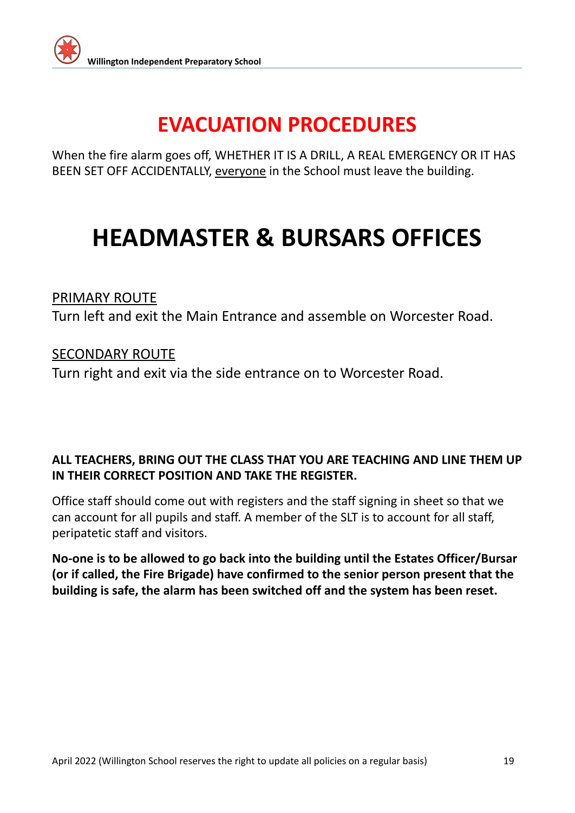

When the fire alarm goes off, WHETHER IT IS A DRILL, A REAL EMERGENCY OR IT HAS BEEN SET OFF ACCIDENTALLY, everyone in the School must leave the building.

## **HEADMASTER & BURSARS OFFICES**

#### PRIMARY ROUTE

Turn left and exit the Main Entrance and assemble on Worcester Road.

#### SECONDARY ROUTE

Turn right and exit via the side entrance on to Worcester Road.

#### **ALL TEACHERS, BRING OUT THE CLASS THAT YOU ARE TEACHING AND LINE THEM UP IN THEIR CORRECT POSITION AND TAKE THE REGISTER.**

Office staff should come out with registers and the staff signing in sheet so that we can account for all pupils and staff. A member of the SLT is to account for all staff, peripatetic staff and visitors.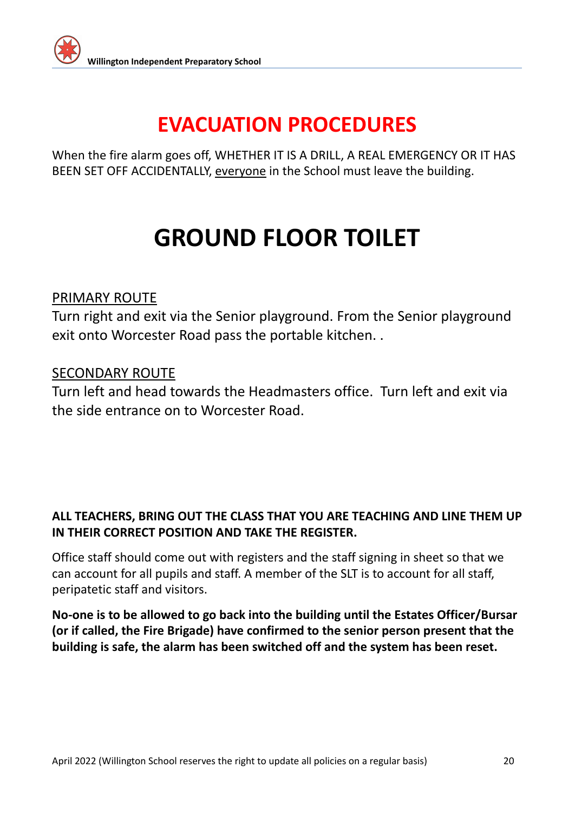

When the fire alarm goes off, WHETHER IT IS A DRILL, A REAL EMERGENCY OR IT HAS BEEN SET OFF ACCIDENTALLY, everyone in the School must leave the building.

# **GROUND FLOOR TOILET**

#### PRIMARY ROUTE

Turn right and exit via the Senior playground. From the Senior playground exit onto Worcester Road pass the portable kitchen. .

#### SECONDARY ROUTE

Turn left and head towards the Headmasters office. Turn left and exit via the side entrance on to Worcester Road.

#### **ALL TEACHERS, BRING OUT THE CLASS THAT YOU ARE TEACHING AND LINE THEM UP IN THEIR CORRECT POSITION AND TAKE THE REGISTER.**

Office staff should come out with registers and the staff signing in sheet so that we can account for all pupils and staff. A member of the SLT is to account for all staff, peripatetic staff and visitors.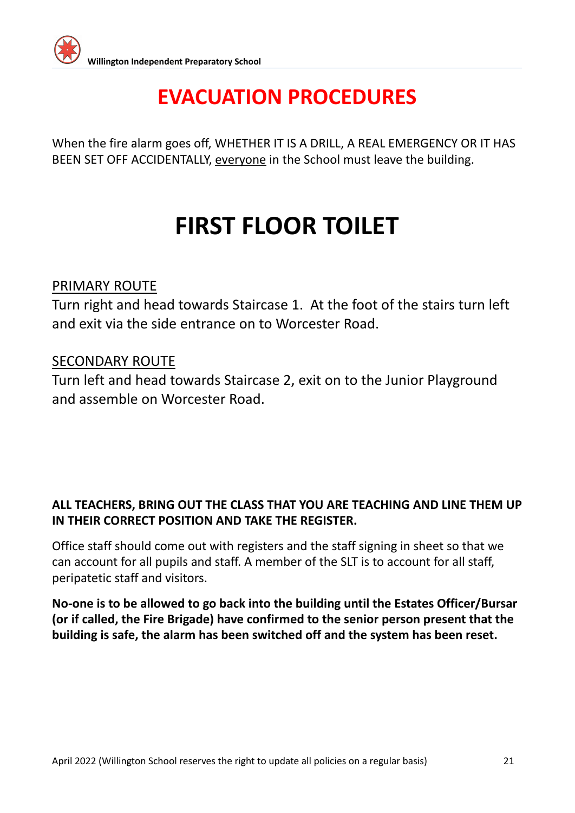When the fire alarm goes off, WHETHER IT IS A DRILL, A REAL EMERGENCY OR IT HAS BEEN SET OFF ACCIDENTALLY, everyone in the School must leave the building.

## **FIRST FLOOR TOILET**

#### PRIMARY ROUTE

Turn right and head towards Staircase 1. At the foot of the stairs turn left and exit via the side entrance on to Worcester Road.

#### SECONDARY ROUTE

Turn left and head towards Staircase 2, exit on to the Junior Playground and assemble on Worcester Road.

#### **ALL TEACHERS, BRING OUT THE CLASS THAT YOU ARE TEACHING AND LINE THEM UP IN THEIR CORRECT POSITION AND TAKE THE REGISTER.**

Office staff should come out with registers and the staff signing in sheet so that we can account for all pupils and staff. A member of the SLT is to account for all staff, peripatetic staff and visitors.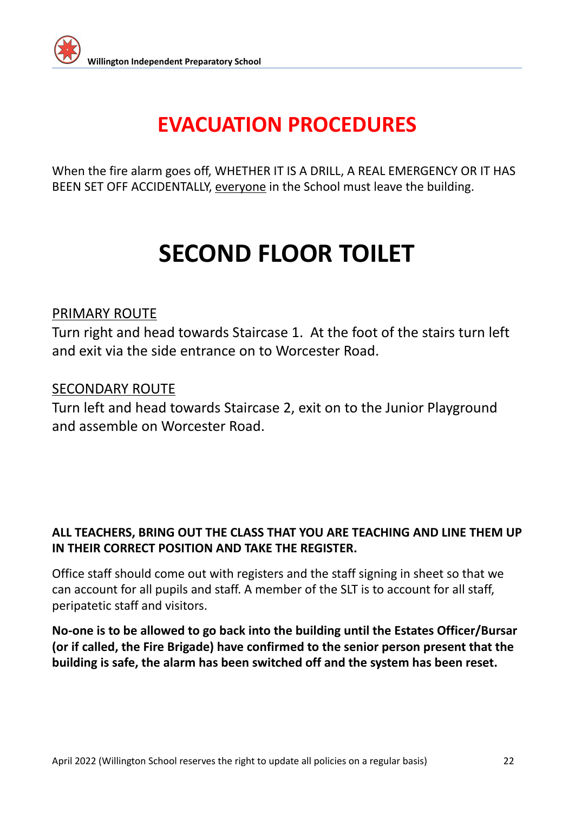

When the fire alarm goes off, WHETHER IT IS A DRILL, A REAL EMERGENCY OR IT HAS BEEN SET OFF ACCIDENTALLY, everyone in the School must leave the building.

## **SECOND FLOOR TOILET**

#### PRIMARY ROUTE

Turn right and head towards Staircase 1. At the foot of the stairs turn left and exit via the side entrance on to Worcester Road.

#### SECONDARY ROUTE

Turn left and head towards Staircase 2, exit on to the Junior Playground and assemble on Worcester Road.

#### **ALL TEACHERS, BRING OUT THE CLASS THAT YOU ARE TEACHING AND LINE THEM UP IN THEIR CORRECT POSITION AND TAKE THE REGISTER.**

Office staff should come out with registers and the staff signing in sheet so that we can account for all pupils and staff. A member of the SLT is to account for all staff, peripatetic staff and visitors.